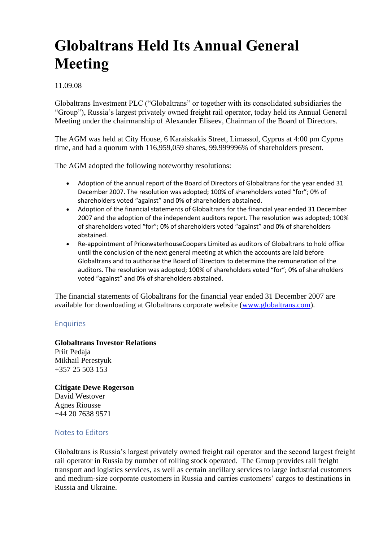# **Globaltrans Held Its Annual General Meeting**

#### 11.09.08

Globaltrans Investment PLC ("Globaltrans" or together with its consolidated subsidiaries the "Group"), Russia's largest privately owned freight rail operator, today held its Annual General Meeting under the chairmanship of Alexander Eliseev, Chairman of the Board of Directors.

The AGM was held at City House, 6 Karaiskakis Street, Limassol, Cyprus at 4:00 pm Cyprus time, and had a quorum with 116,959,059 shares, 99.999996% of shareholders present.

The AGM adopted the following noteworthy resolutions:

- Adoption of the annual report of the Board of Directors of Globaltrans for the year ended 31 December 2007. The resolution was adopted; 100% of shareholders voted "for"; 0% of shareholders voted "against" and 0% of shareholders abstained.
- Adoption of the financial statements of Globaltrans for the financial year ended 31 December 2007 and the adoption of the independent auditors report. The resolution was adopted; 100% of shareholders voted "for"; 0% of shareholders voted "against" and 0% of shareholders abstained.
- Re-appointment of PricewaterhouseCoopers Limited as auditors of Globaltrans to hold office until the conclusion of the next general meeting at which the accounts are laid before Globaltrans and to authorise the Board of Directors to determine the remuneration of the auditors. The resolution was adopted; 100% of shareholders voted "for"; 0% of shareholders voted "against" and 0% of shareholders abstained.

The financial statements of Globaltrans for the financial year ended 31 December 2007 are available for downloading at Globaltrans corporate website [\(www.globaltrans.com\)](http://www.globaltrans.com/).

## **Enquiries**

#### **Globaltrans Investor Relations**

Priit Pedaja Mikhail Perestyuk +357 25 503 153

#### **Citigate Dewe Rogerson**

David Westover Agnes Riousse +44 20 7638 9571

### Notes to Editors

Globaltrans is Russia's largest privately owned freight rail operator and the second largest freight rail operator in Russia by number of rolling stock operated. The Group provides rail freight transport and logistics services, as well as certain ancillary services to large industrial customers and medium-size corporate customers in Russia and carries customers' cargos to destinations in Russia and Ukraine.